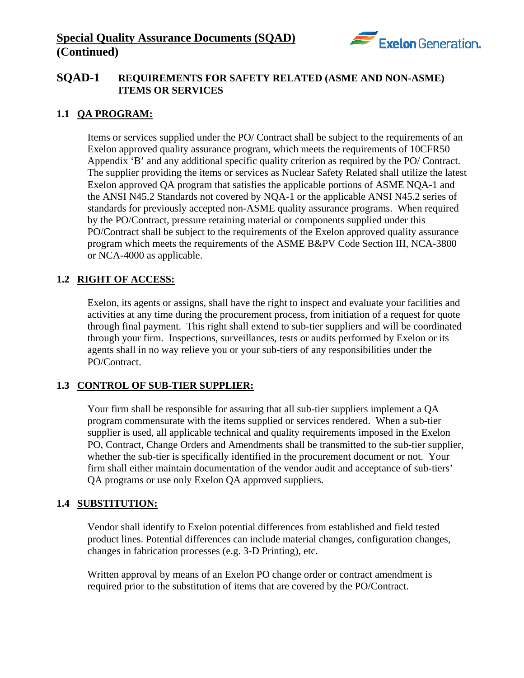

# **SQAD-1 REQUIREMENTS FOR SAFETY RELATED (ASME AND NON-ASME) ITEMS OR SERVICES**

## **1.1 QA PROGRAM:**

Items or services supplied under the PO/ Contract shall be subject to the requirements of an Exelon approved quality assurance program, which meets the requirements of 10CFR50 Appendix 'B' and any additional specific quality criterion as required by the PO/ Contract. The supplier providing the items or services as Nuclear Safety Related shall utilize the latest Exelon approved QA program that satisfies the applicable portions of ASME NQA-1 and the ANSI N45.2 Standards not covered by NQA-1 or the applicable ANSI N45.2 series of standards for previously accepted non-ASME quality assurance programs. When required by the PO/Contract, pressure retaining material or components supplied under this PO/Contract shall be subject to the requirements of the Exelon approved quality assurance program which meets the requirements of the ASME B&PV Code Section III, NCA-3800 or NCA-4000 as applicable.

#### **1.2 RIGHT OF ACCESS:**

Exelon, its agents or assigns, shall have the right to inspect and evaluate your facilities and activities at any time during the procurement process, from initiation of a request for quote through final payment. This right shall extend to sub-tier suppliers and will be coordinated through your firm. Inspections, surveillances, tests or audits performed by Exelon or its agents shall in no way relieve you or your sub-tiers of any responsibilities under the PO/Contract.

#### **1.3 CONTROL OF SUB-TIER SUPPLIER:**

Your firm shall be responsible for assuring that all sub-tier suppliers implement a QA program commensurate with the items supplied or services rendered. When a sub-tier supplier is used, all applicable technical and quality requirements imposed in the Exelon PO, Contract, Change Orders and Amendments shall be transmitted to the sub-tier supplier, whether the sub-tier is specifically identified in the procurement document or not. Your firm shall either maintain documentation of the vendor audit and acceptance of sub-tiers' QA programs or use only Exelon QA approved suppliers.

#### **1.4 SUBSTITUTION:**

Vendor shall identify to Exelon potential differences from established and field tested product lines. Potential differences can include material changes, configuration changes, changes in fabrication processes (e.g. 3-D Printing), etc.

Written approval by means of an Exelon PO change order or contract amendment is required prior to the substitution of items that are covered by the PO/Contract.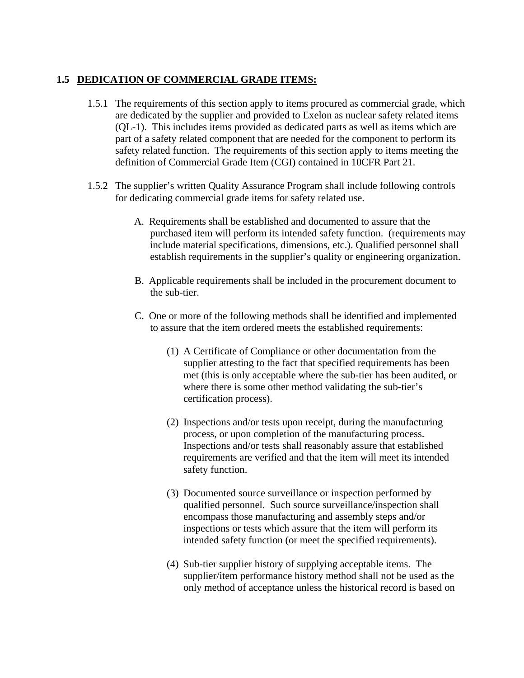#### **1.5 DEDICATION OF COMMERCIAL GRADE ITEMS:**

- 1.5.1 The requirements of this section apply to items procured as commercial grade, which are dedicated by the supplier and provided to Exelon as nuclear safety related items (QL-1). This includes items provided as dedicated parts as well as items which are part of a safety related component that are needed for the component to perform its safety related function. The requirements of this section apply to items meeting the definition of Commercial Grade Item (CGI) contained in 10CFR Part 21.
- 1.5.2 The supplier's written Quality Assurance Program shall include following controls for dedicating commercial grade items for safety related use.
	- A. Requirements shall be established and documented to assure that the purchased item will perform its intended safety function. (requirements may include material specifications, dimensions, etc.). Qualified personnel shall establish requirements in the supplier's quality or engineering organization.
	- B. Applicable requirements shall be included in the procurement document to the sub-tier.
	- C. One or more of the following methods shall be identified and implemented to assure that the item ordered meets the established requirements:
		- (1) A Certificate of Compliance or other documentation from the supplier attesting to the fact that specified requirements has been met (this is only acceptable where the sub-tier has been audited, or where there is some other method validating the sub-tier's certification process).
		- (2) Inspections and/or tests upon receipt, during the manufacturing process, or upon completion of the manufacturing process. Inspections and/or tests shall reasonably assure that established requirements are verified and that the item will meet its intended safety function.
		- (3) Documented source surveillance or inspection performed by qualified personnel. Such source surveillance/inspection shall encompass those manufacturing and assembly steps and/or inspections or tests which assure that the item will perform its intended safety function (or meet the specified requirements).
		- (4) Sub-tier supplier history of supplying acceptable items. The supplier/item performance history method shall not be used as the only method of acceptance unless the historical record is based on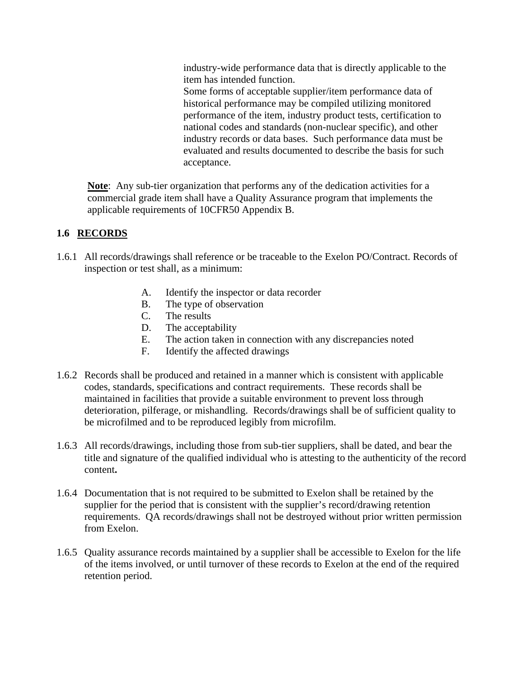industry-wide performance data that is directly applicable to the item has intended function. Some forms of acceptable supplier/item performance data of historical performance may be compiled utilizing monitored performance of the item, industry product tests, certification to national codes and standards (non-nuclear specific), and other industry records or data bases. Such performance data must be evaluated and results documented to describe the basis for such acceptance.

**Note**: Any sub-tier organization that performs any of the dedication activities for a commercial grade item shall have a Quality Assurance program that implements the applicable requirements of 10CFR50 Appendix B.

# **1.6 RECORDS**

- 1.6.1 All records/drawings shall reference or be traceable to the Exelon PO/Contract. Records of inspection or test shall, as a minimum:
	- A. Identify the inspector or data recorder
	- B. The type of observation
	- C. The results
	- D. The acceptability
	- E. The action taken in connection with any discrepancies noted
	- F. Identify the affected drawings
- 1.6.2 Records shall be produced and retained in a manner which is consistent with applicable codes, standards, specifications and contract requirements. These records shall be maintained in facilities that provide a suitable environment to prevent loss through deterioration, pilferage, or mishandling. Records/drawings shall be of sufficient quality to be microfilmed and to be reproduced legibly from microfilm.
- 1.6.3 All records/drawings, including those from sub-tier suppliers, shall be dated, and bear the title and signature of the qualified individual who is attesting to the authenticity of the record content**.**
- 1.6.4 Documentation that is not required to be submitted to Exelon shall be retained by the supplier for the period that is consistent with the supplier's record/drawing retention requirements. QA records/drawings shall not be destroyed without prior written permission from Exelon.
- 1.6.5 Quality assurance records maintained by a supplier shall be accessible to Exelon for the life of the items involved, or until turnover of these records to Exelon at the end of the required retention period.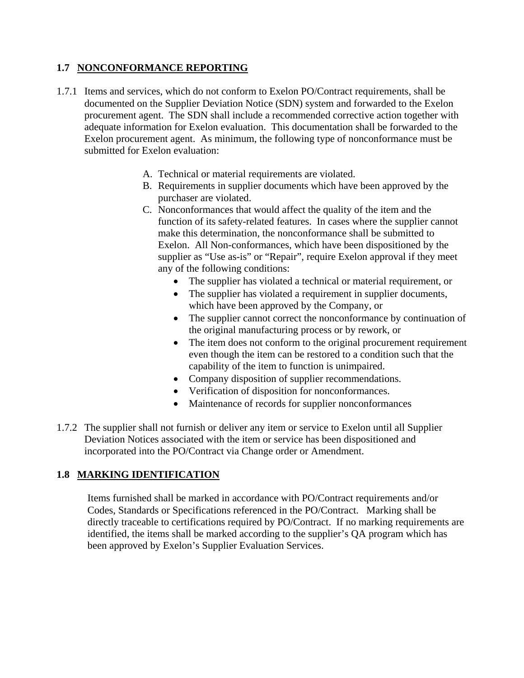## **1.7 NONCONFORMANCE REPORTING**

- 1.7.1 Items and services, which do not conform to Exelon PO/Contract requirements, shall be documented on the Supplier Deviation Notice (SDN) system and forwarded to the Exelon procurement agent. The SDN shall include a recommended corrective action together with adequate information for Exelon evaluation. This documentation shall be forwarded to the Exelon procurement agent. As minimum, the following type of nonconformance must be submitted for Exelon evaluation:
	- A. Technical or material requirements are violated.
	- B. Requirements in supplier documents which have been approved by the purchaser are violated.
	- C. Nonconformances that would affect the quality of the item and the function of its safety-related features. In cases where the supplier cannot make this determination, the nonconformance shall be submitted to Exelon. All Non-conformances, which have been dispositioned by the supplier as "Use as-is" or "Repair", require Exelon approval if they meet any of the following conditions:
		- The supplier has violated a technical or material requirement, or
		- The supplier has violated a requirement in supplier documents, which have been approved by the Company, or
		- The supplier cannot correct the nonconformance by continuation of the original manufacturing process or by rework, or
		- The item does not conform to the original procurement requirement even though the item can be restored to a condition such that the capability of the item to function is unimpaired.
		- Company disposition of supplier recommendations.
		- Verification of disposition for nonconformances.
		- Maintenance of records for supplier nonconformances
- 1.7.2 The supplier shall not furnish or deliver any item or service to Exelon until all Supplier Deviation Notices associated with the item or service has been dispositioned and incorporated into the PO/Contract via Change order or Amendment.

# **1.8 MARKING IDENTIFICATION**

Items furnished shall be marked in accordance with PO/Contract requirements and/or Codes, Standards or Specifications referenced in the PO/Contract. Marking shall be directly traceable to certifications required by PO/Contract. If no marking requirements are identified, the items shall be marked according to the supplier's QA program which has been approved by Exelon's Supplier Evaluation Services.